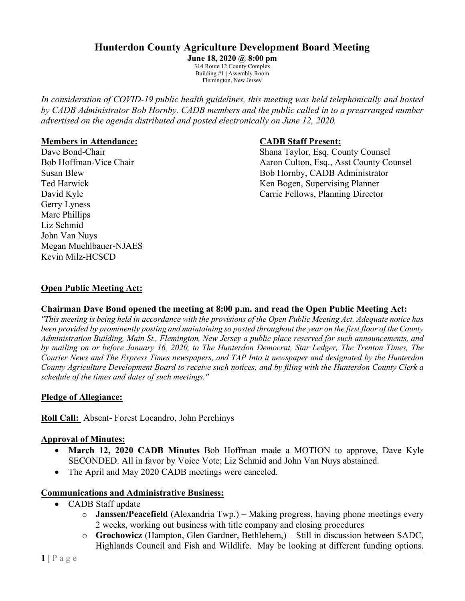# **Hunterdon County Agriculture Development Board Meeting**

**June 18, 2020 @ 8:00 pm**  314 Route 12 County Complex Building #1 | Assembly Room Flemington, New Jersey

*In consideration of COVID-19 public health guidelines, this meeting was held telephonically and hosted by CADB Administrator Bob Hornby. CADB members and the public called in to a prearranged number advertised on the agenda distributed and posted electronically on June 12, 2020.*

#### **Members in Attendance: CADB Staff Present:**

Gerry Lyness Marc Phillips Liz Schmid John Van Nuys Megan Muehlbauer-NJAES Kevin Milz-HCSCD

Dave Bond-Chair Shana Taylor, Esq. County Counsel Bob Hoffman-Vice Chair Aaron Culton, Esq., Asst County Counsel Susan Blew Bob Hornby, CADB Administrator Ted Harwick Ken Bogen, Supervising Planner David Kyle Carrie Fellows, Planning Director

# **Open Public Meeting Act:**

### **Chairman Dave Bond opened the meeting at 8:00 p.m. and read the Open Public Meeting Act:**

*"This meeting is being held in accordance with the provisions of the Open Public Meeting Act. Adequate notice has been provided by prominently posting and maintaining so posted throughout the year on the first floor of the County Administration Building, Main St., Flemington, New Jersey a public place reserved for such announcements, and by mailing on or before January 16, 2020, to The Hunterdon Democrat, Star Ledger, The Trenton Times, The Courier News and The Express Times newspapers, and TAP Into it newspaper and designated by the Hunterdon County Agriculture Development Board to receive such notices, and by filing with the Hunterdon County Clerk a schedule of the times and dates of such meetings."*

### **Pledge of Allegiance:**

**Roll Call:** Absent- Forest Locandro, John Perehinys

#### **Approval of Minutes:**

- **March 12, 2020 CADB Minutes** Bob Hoffman made a MOTION to approve, Dave Kyle SECONDED. All in favor by Voice Vote; Liz Schmid and John Van Nuys abstained.
- The April and May 2020 CADB meetings were canceled.

#### **Communications and Administrative Business:**

- CADB Staff update
	- o **Janssen/Peacefield** (Alexandria Twp.) Making progress, having phone meetings every 2 weeks, working out business with title company and closing procedures
	- o **Grochowicz** (Hampton, Glen Gardner, Bethlehem,) Still in discussion between SADC, Highlands Council and Fish and Wildlife. May be looking at different funding options.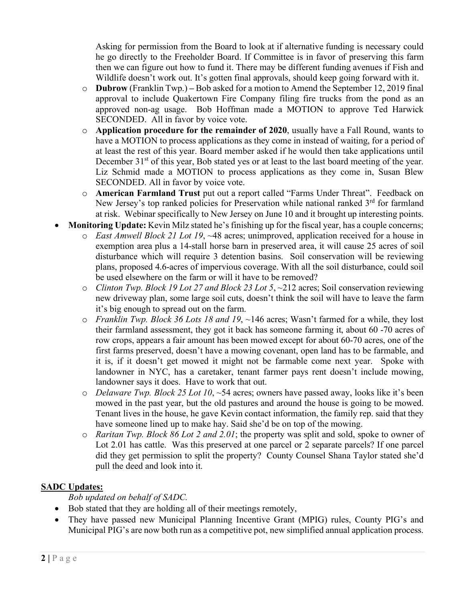Asking for permission from the Board to look at if alternative funding is necessary could he go directly to the Freeholder Board. If Committee is in favor of preserving this farm then we can figure out how to fund it. There may be different funding avenues if Fish and Wildlife doesn't work out. It's gotten final approvals, should keep going forward with it.

- o **Dubrow** (Franklin Twp.)Bob asked for a motion to Amend the September 12, 2019 final approval to include Quakertown Fire Company filing fire trucks from the pond as an approved non-ag usage. Bob Hoffman made a MOTION to approve Ted Harwick SECONDED. All in favor by voice vote.
- o **Application procedure for the remainder of 2020**, usually have a Fall Round, wants to have a MOTION to process applications as they come in instead of waiting, for a period of at least the rest of this year. Board member asked if he would then take applications until December 31<sup>st</sup> of this year, Bob stated yes or at least to the last board meeting of the year. Liz Schmid made a MOTION to process applications as they come in, Susan Blew SECONDED. All in favor by voice vote.
- o **American Farmland Trust** put out a report called "Farms Under Threat". Feedback on New Jersey's top ranked policies for Preservation while national ranked  $3<sup>rd</sup>$  for farmland at risk. Webinar specifically to New Jersey on June 10 and it brought up interesting points.
- **Monitoring Update:** Kevin Milz stated he's finishing up for the fiscal year, has a couple concerns;
	- o *East Amwell Block 21 Lot 19*, ~48 acres; unimproved, application received for a house in exemption area plus a 14-stall horse barn in preserved area, it will cause 25 acres of soil disturbance which will require 3 detention basins. Soil conservation will be reviewing plans, proposed 4.6-acres of impervious coverage. With all the soil disturbance, could soil be used elsewhere on the farm or will it have to be removed?
	- o *Clinton Twp. Block 19 Lot 27 and Block 23 Lot 5*, ~212 acres; Soil conservation reviewing new driveway plan, some large soil cuts, doesn't think the soil will have to leave the farm it's big enough to spread out on the farm.
	- o *Franklin Twp. Block 36 Lots 18 and 19*, ~146 acres; Wasn't farmed for a while, they lost their farmland assessment, they got it back has someone farming it, about 60 -70 acres of row crops, appears a fair amount has been mowed except for about 60-70 acres, one of the first farms preserved, doesn't have a mowing covenant, open land has to be farmable, and it is, if it doesn't get mowed it might not be farmable come next year. Spoke with landowner in NYC, has a caretaker, tenant farmer pays rent doesn't include mowing, landowner says it does. Have to work that out.
	- o *Delaware Twp. Block 25 Lot 10*, ~54 acres; owners have passed away, looks like it's been mowed in the past year, but the old pastures and around the house is going to be mowed. Tenant lives in the house, he gave Kevin contact information, the family rep. said that they have someone lined up to make hay. Said she'd be on top of the mowing.
	- o *Raritan Twp. Block 86 Lot 2 and 2.01*; the property was split and sold, spoke to owner of Lot 2.01 has cattle. Was this preserved at one parcel or 2 separate parcels? If one parcel did they get permission to split the property? County Counsel Shana Taylor stated she'd pull the deed and look into it.

# **SADC Updates:**

*Bob updated on behalf of SADC.*

- Bob stated that they are holding all of their meetings remotely,
- They have passed new Municipal Planning Incentive Grant (MPIG) rules, County PIG's and Municipal PIG's are now both run as a competitive pot, new simplified annual application process.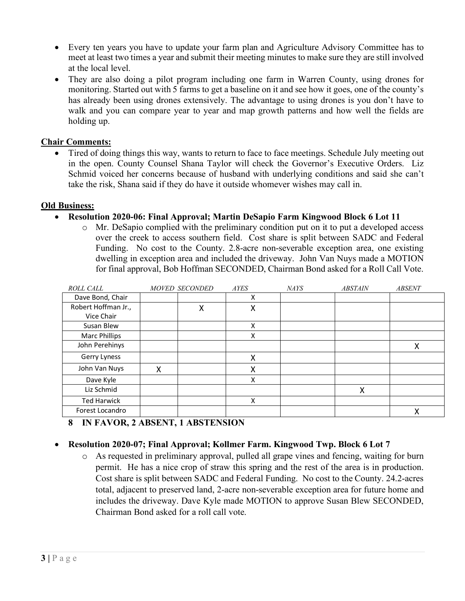- Every ten years you have to update your farm plan and Agriculture Advisory Committee has to meet at least two times a year and submit their meeting minutes to make sure they are still involved at the local level.
- They are also doing a pilot program including one farm in Warren County, using drones for monitoring. Started out with 5 farms to get a baseline on it and see how it goes, one of the county's has already been using drones extensively. The advantage to using drones is you don't have to walk and you can compare year to year and map growth patterns and how well the fields are holding up.

### **Chair Comments:**

• Tired of doing things this way, wants to return to face to face meetings. Schedule July meeting out in the open. County Counsel Shana Taylor will check the Governor's Executive Orders. Liz Schmid voiced her concerns because of husband with underlying conditions and said she can't take the risk, Shana said if they do have it outside whomever wishes may call in.

### **Old Business:**

# • **Resolution 2020-06: Final Approval; Martin DeSapio Farm Kingwood Block 6 Lot 11**

 $\circ$  Mr. DeSapio complied with the preliminary condition put on it to put a developed access over the creek to access southern field. Cost share is split between SADC and Federal Funding. No cost to the County. 2.8-acre non-severable exception area, one existing dwelling in exception area and included the driveway. John Van Nuys made a MOTION for final approval, Bob Hoffman SECONDED, Chairman Bond asked for a Roll Call Vote.

| ROLL CALL           |   | <b>MOVED SECONDED</b> | <b>AYES</b> | <b>NAYS</b> | <b>ABSTAIN</b> | <b>ABSENT</b> |
|---------------------|---|-----------------------|-------------|-------------|----------------|---------------|
| Dave Bond, Chair    |   |                       | Χ           |             |                |               |
| Robert Hoffman Jr., |   | X                     | Χ           |             |                |               |
| Vice Chair          |   |                       |             |             |                |               |
| Susan Blew          |   |                       | Χ           |             |                |               |
| Marc Phillips       |   |                       | х           |             |                |               |
| John Perehinys      |   |                       |             |             |                | х             |
| Gerry Lyness        |   |                       | X           |             |                |               |
| John Van Nuys       | Χ |                       | х           |             |                |               |
| Dave Kyle           |   |                       | Χ           |             |                |               |
| Liz Schmid          |   |                       |             |             | Χ              |               |
| <b>Ted Harwick</b>  |   |                       | X           |             |                |               |
| Forest Locandro     |   |                       |             |             |                | χ             |

**8 IN FAVOR, 2 ABSENT, 1 ABSTENSION** 

### • **Resolution 2020-07; Final Approval; Kollmer Farm. Kingwood Twp. Block 6 Lot 7**

o As requested in preliminary approval, pulled all grape vines and fencing, waiting for burn permit. He has a nice crop of straw this spring and the rest of the area is in production. Cost share is split between SADC and Federal Funding. No cost to the County. 24.2-acres total, adjacent to preserved land, 2-acre non-severable exception area for future home and includes the driveway. Dave Kyle made MOTION to approve Susan Blew SECONDED, Chairman Bond asked for a roll call vote.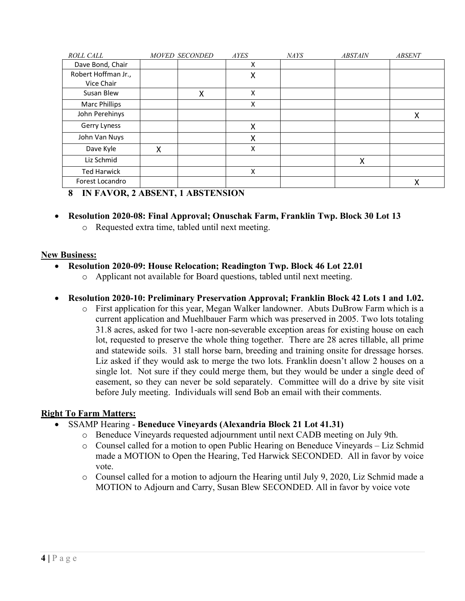| ROLL CALL            | <b>MOVED SECONDED</b> | <b>AYES</b> | <b>NAYS</b> | <b>ABSTAIN</b> | <b>ABSENT</b> |
|----------------------|-----------------------|-------------|-------------|----------------|---------------|
| Dave Bond, Chair     |                       | Χ           |             |                |               |
| Robert Hoffman Jr.,  |                       | Χ           |             |                |               |
| Vice Chair           |                       |             |             |                |               |
| Susan Blew           |                       | X<br>Χ      |             |                |               |
| <b>Marc Phillips</b> |                       | Χ           |             |                |               |
| John Perehinys       |                       |             |             |                | X             |
| Gerry Lyness         |                       | Χ           |             |                |               |
| John Van Nuys        |                       | Χ           |             |                |               |
| Dave Kyle            | X                     | X           |             |                |               |
| Liz Schmid           |                       |             |             | X              |               |
| <b>Ted Harwick</b>   |                       | X           |             |                |               |
| Forest Locandro      |                       |             |             |                | X             |

# **8 IN FAVOR, 2 ABSENT, 1 ABSTENSION**

- **Resolution 2020-08: Final Approval; Onuschak Farm, Franklin Twp. Block 30 Lot 13**
	- o Requested extra time, tabled until next meeting.

### **New Business:**

- **Resolution 2020-09: House Relocation; Readington Twp. Block 46 Lot 22.01**
	- o Applicant not available for Board questions, tabled until next meeting.

# • **Resolution 2020-10: Preliminary Preservation Approval; Franklin Block 42 Lots 1 and 1.02.**

o First application for this year, Megan Walker landowner. Abuts DuBrow Farm which is a current application and Muehlbauer Farm which was preserved in 2005. Two lots totaling 31.8 acres, asked for two 1-acre non-severable exception areas for existing house on each lot, requested to preserve the whole thing together. There are 28 acres tillable, all prime and statewide soils. 31 stall horse barn, breeding and training onsite for dressage horses. Liz asked if they would ask to merge the two lots. Franklin doesn't allow 2 houses on a single lot. Not sure if they could merge them, but they would be under a single deed of easement, so they can never be sold separately. Committee will do a drive by site visit before July meeting. Individuals will send Bob an email with their comments.

# **Right To Farm Matters:**

- SSAMP Hearing **Beneduce Vineyards (Alexandria Block 21 Lot 41.31)**
	- o Beneduce Vineyards requested adjournment until next CADB meeting on July 9th.
	- o Counsel called for a motion to open Public Hearing on Beneduce Vineyards Liz Schmid made a MOTION to Open the Hearing, Ted Harwick SECONDED. All in favor by voice vote.
	- o Counsel called for a motion to adjourn the Hearing until July 9, 2020, Liz Schmid made a MOTION to Adjourn and Carry, Susan Blew SECONDED. All in favor by voice vote